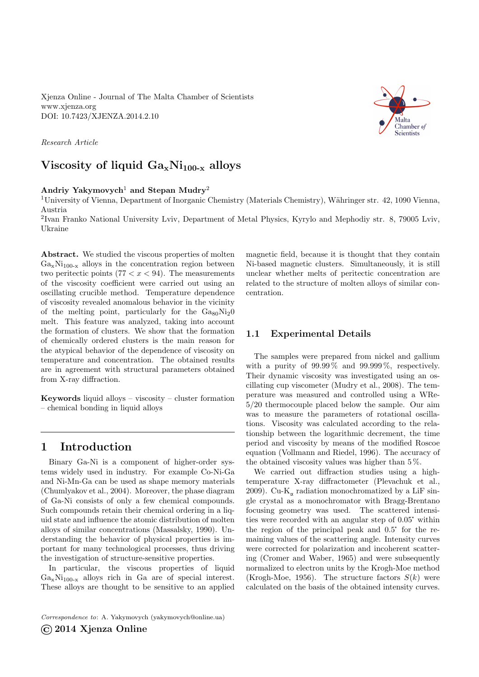Xjenza Online - Journal of The Malta Chamber of Scientists <www.xjenza.org> DOI:<10.7423/XJENZA.2014.2.10>

Research Article

# Viscosity of liquid  $Ga_xNi_{100-x}$  alloys

### Andriy Yakymovych<sup>1</sup> and Stepan Mudry<sup>2</sup>

<sup>1</sup>University of Vienna, Department of Inorganic Chemistry (Materials Chemistry), W¨ahringer str. 42, 1090 Vienna, Austria

<sup>2</sup>Ivan Franko National University Lviv, Department of Metal Physics, Kyrylo and Mephodiy str. 8, 79005 Lviv, Ukraine

Abstract. We studied the viscous properties of molten  $Ga_xNi_{100-x}$  alloys in the concentration region between two peritectic points  $(77 < x < 94)$ . The measurements of the viscosity coefficient were carried out using an oscillating crucible method. Temperature dependence of viscosity revealed anomalous behavior in the vicinity of the melting point, particularly for the  $Ga_{80}Ni<sub>2</sub>0$ melt. This feature was analyzed, taking into account the formation of clusters. We show that the formation of chemically ordered clusters is the main reason for the atypical behavior of the dependence of viscosity on temperature and concentration. The obtained results are in agreement with structural parameters obtained from X-ray diffraction.

Keywords liquid alloys – viscosity – cluster formation – chemical bonding in liquid alloys

### 1 Introduction

Binary Ga-Ni is a component of higher-order systems widely used in industry. For example Co-Ni-Ga and Ni-Mn-Ga can be used as shape memory materials (Chumlyakov et al., [2004\)](#page-2-0). Moreover, the phase diagram of Ga-Ni consists of only a few chemical compounds. Such compounds retain their chemical ordering in a liquid state and influence the atomic distribution of molten alloys of similar concentrations (Massalsky, [1990\)](#page-2-1). Understanding the behavior of physical properties is important for many technological processes, thus driving the investigation of structure-sensitive properties.

In particular, the viscous properties of liquid  $Ga_xNi_{100-x}$  alloys rich in Ga are of special interest. These alloys are thought to be sensitive to an applied

Correspondence to: A. Yakymovych [\(yakymovych@online.ua\)](mailto:yakymovych@online.ua)

©2014 Xjenza Online

magnetic field, because it is thought that they contain Ni-based magnetic clusters. Simultaneously, it is still unclear whether melts of peritectic concentration are related to the structure of molten alloys of similar concentration.

#### 1.1 Experimental Details

The samples were prepared from nickel and gallium with a purity of  $99.99\%$  and  $99.999\%$ , respectively. Their dynamic viscosity was investigated using an oscillating cup viscometer (Mudry et al., [2008\)](#page-2-2). The temperature was measured and controlled using a WRe-5/20 thermocouple placed below the sample. Our aim was to measure the parameters of rotational oscillations. Viscosity was calculated according to the relationship between the logarithmic decrement, the time period and viscosity by means of the modified Roscoe equation (Vollmann and Riedel, [1996\)](#page-3-0). The accuracy of the obtained viscosity values was higher than 5 %.

We carried out diffraction studies using a hightemperature X-ray diffractometer (Plevachuk et al., [2009\)](#page-2-3). Cu- $\mathrm{K}_{\alpha}$  radiation monochromatized by a LiF single crystal as a monochromator with Bragg-Brentano focusing geometry was used. The scattered intensigle crystal as a monochromator with Bragg-Brentano<br>focusing geometry was used. The scattered intensi-<br>ties were recorded with an angular step of 0.05° within focusing geometry was used. The scattered intensi-<br>ties were recorded with an angular step of  $0.05^{\circ}$  within<br>the region of the principal peak and  $0.5^{\circ}$  for the remaining values of the scattering angle. Intensity curves were corrected for polarization and incoherent scattering (Cromer and Waber, [1965\)](#page-2-4) and were subsequently normalized to electron units by the Krogh-Moe method (Krogh-Moe, [1956\)](#page-2-5). The structure factors  $S(k)$  were calculated on the basis of the obtained intensity curves.

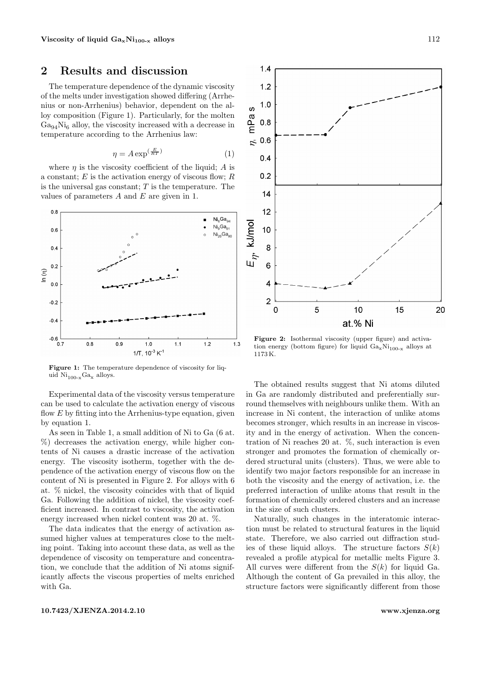## 2 Results and discussion

The temperature dependence of the dynamic viscosity of the melts under investigation showed differing (Arrhenius or non-Arrhenius) behavior, dependent on the alloy composition (Figure [1\)](#page-1-0). Particularly, for the molten  $\rm Ga_{94}Ni_{6}$  alloy, the viscosity increased with a decrease in temperature according to the Arrhenius law:

$$
\eta = A \exp^{\left(\frac{E}{RT}\right)}\tag{1}
$$

<span id="page-1-1"></span>where  $\eta$  is the viscosity coefficient of the liquid; A is a constant;  $E$  is the activation energy of viscous flow;  $R$ is the universal gas constant;  $T$  is the temperature. The values of parameters  $A$  and  $E$  are given in [1.](#page-2-6)

<span id="page-1-0"></span>

Figure 1: The temperature dependence of viscosity for liquid  $Ni_{100-x}Ga_x$  alloys.

Experimental data of the viscosity versus temperature can be used to calculate the activation energy of viscous flow  $E$  by fitting into the Arrhenius-type equation, given by equation [1.](#page-1-1)

As seen in Table [1,](#page-2-6) a small addition of Ni to Ga (6 at. %) decreases the activation energy, while higher contents of Ni causes a drastic increase of the activation energy. The viscosity isotherm, together with the dependence of the activation energy of viscous flow on the content of Ni is presented in Figure [2.](#page-1-2) For alloys with 6 at. % nickel, the viscosity coincides with that of liquid Ga. Following the addition of nickel, the viscosity coefficient increased. In contrast to viscosity, the activation energy increased when nickel content was 20 at. %.

The data indicates that the energy of activation assumed higher values at temperatures close to the melting point. Taking into account these data, as well as the dependence of viscosity on temperature and concentration, we conclude that the addition of Ni atoms significantly affects the viscous properties of melts enriched with Ga.

<span id="page-1-2"></span>

Figure 2: Isothermal viscosity (upper figure) and activation energy (bottom figure) for liquid  $Ga_xNi_{100-x}$  alloys at 1173 K.

The obtained results suggest that Ni atoms diluted in Ga are randomly distributed and preferentially surround themselves with neighbours unlike them. With an increase in Ni content, the interaction of unlike atoms becomes stronger, which results in an increase in viscosity and in the energy of activation. When the concentration of Ni reaches 20 at. %, such interaction is even stronger and promotes the formation of chemically ordered structural units (clusters). Thus, we were able to identify two major factors responsible for an increase in both the viscosity and the energy of activation, i.e. the preferred interaction of unlike atoms that result in the formation of chemically ordered clusters and an increase in the size of such clusters.

Naturally, such changes in the interatomic interaction must be related to structural features in the liquid state. Therefore, we also carried out diffraction studies of these liquid alloys. The structure factors  $S(k)$ revealed a profile atypical for metallic melts Figure [3.](#page-2-7) All curves were different from the  $S(k)$  for liquid Ga. Although the content of Ga prevailed in this alloy, the structure factors were significantly different from those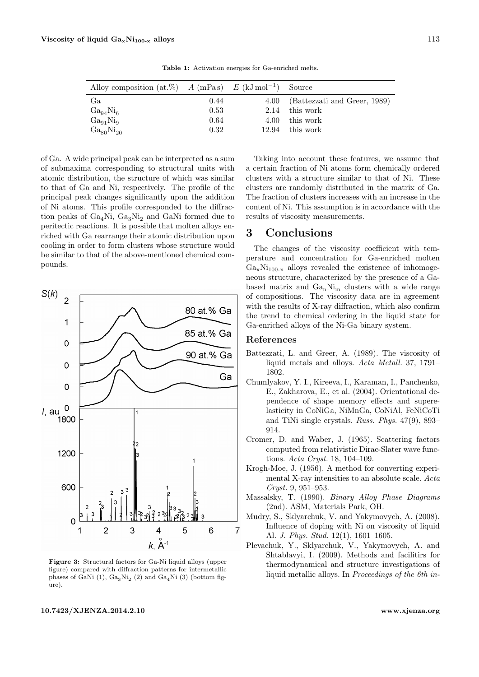<span id="page-2-6"></span>

| Alloy composition (at.%) A (mPas) $E$ (kJ mol <sup>-1</sup> ) Source |      |      |                                   |
|----------------------------------------------------------------------|------|------|-----------------------------------|
| Ga                                                                   | 0.44 |      | 4.00 (Battezzati and Greer, 1989) |
| $Ga_{94}Ni_6$                                                        | 0.53 | 2.14 | this work                         |
| $Ga_{91}Ni_9$                                                        | 0.64 | 4.00 | this work                         |
| $Ga_{80}Ni_{20}$                                                     | 0.32 |      | 12.94 this work                   |

Table 1: Activation energies for Ga-enriched melts.

of Ga. A wide principal peak can be interpreted as a sum of submaxima corresponding to structural units with atomic distribution, the structure of which was similar to that of Ga and Ni, respectively. The profile of the principal peak changes significantly upon the addition of Ni atoms. This profile corresponded to the diffraction peaks of  $Ga_4Ni$ ,  $Ga_3Ni_2$  and GaNi formed due to peritectic reactions. It is possible that molten alloys enriched with Ga rearrange their atomic distribution upon cooling in order to form clusters whose structure would be similar to that of the above-mentioned chemical compounds.

<span id="page-2-7"></span>

Figure 3: Structural factors for Ga-Ni liquid alloys (upper figure) compared with diffraction patterns for intermetallic phases of GaNi (1),  $Ga_3Ni_2$  (2) and  $Ga_4Ni$  (3) (bottom figure).

Taking into account these features, we assume that a certain fraction of Ni atoms form chemically ordered clusters with a structure similar to that of Ni. These clusters are randomly distributed in the matrix of Ga. The fraction of clusters increases with an increase in the content of Ni. This assumption is in accordance with the results of viscosity measurements.

### 3 Conclusions

The changes of the viscosity coefficient with temperature and concentration for Ga-enriched molten  $Ga_xNi_{100-x}$  alloys revealed the existence of inhomogeneous structure, characterized by the presence of a Gabased matrix and  $Ga_nNi_m$  clusters with a wide range of compositions. The viscosity data are in agreement with the results of X-ray diffraction, which also confirm the trend to chemical ordering in the liquid state for Ga-enriched alloys of the Ni-Ga binary system.

#### References

- <span id="page-2-8"></span>Battezzati, L. and Greer, A. (1989). The viscosity of liquid metals and alloys. Acta Metall. 37, 1791– 1802.
- <span id="page-2-0"></span>Chumlyakov, Y. I., Kireeva, I., Karaman, I., Panchenko, E., Zakharova, E., et al. (2004). Orientational dependence of shape memory effects and superelasticity in CoNiGa, NiMnGa, CoNiAl, FeNiCoTi and TiNi single crystals. Russ. Phys. 47(9), 893– 914.
- <span id="page-2-4"></span>Cromer, D. and Waber, J. (1965). Scattering factors computed from relativistic Dirac-Slater wave functions. Acta Cryst. 18, 104–109.
- <span id="page-2-5"></span>Krogh-Moe, J. (1956). A method for converting experimental X-ray intensities to an absolute scale. Acta Cryst. 9, 951–953.
- <span id="page-2-1"></span>Massalsky, T. (1990). Binary Alloy Phase Diagrams (2nd). ASM, Materials Park, OH.
- <span id="page-2-2"></span>Mudry, S., Sklyarchuk, V. and Yakymovych, A. (2008). Influence of doping with Ni on viscosity of liquid Al. J. Phys. Stud. 12(1), 1601–1605.
- <span id="page-2-3"></span>Plevachuk, Y., Sklyarchuk, V., Yakymovych, A. and Shtablavyi, I. (2009). Methods and facilitirs for thermodynamical and structure investigations of liquid metallic alloys. In Proceedings of the 6th in-